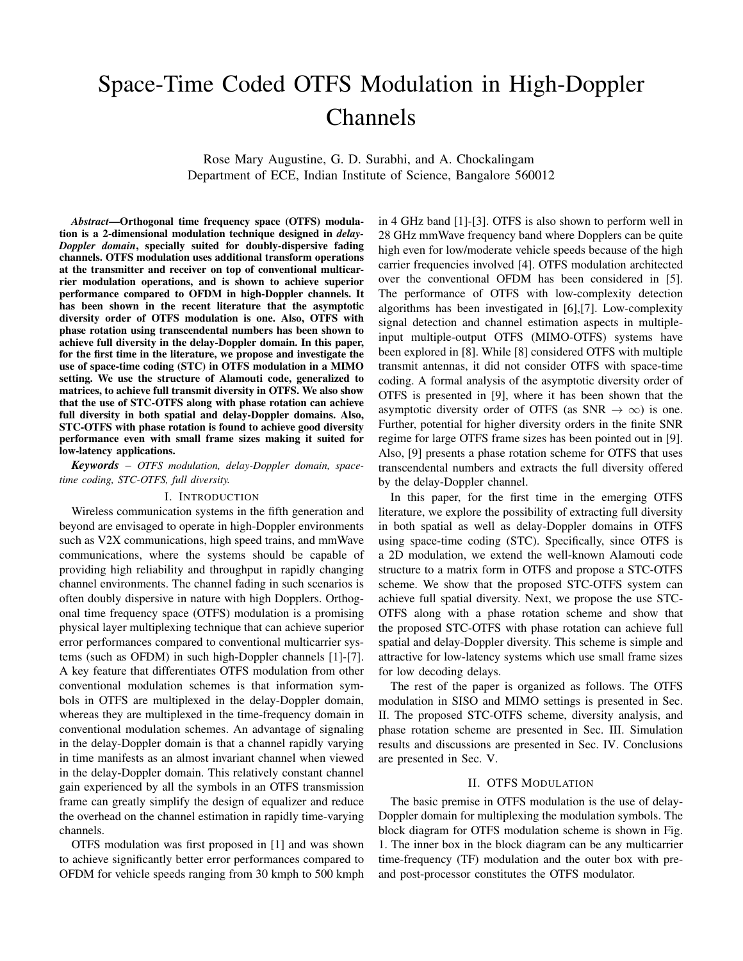# Space-Time Coded OTFS Modulation in High-Doppler Channels

Rose Mary Augustine, G. D. Surabhi, and A. Chockalingam Department of ECE, Indian Institute of Science, Bangalore 560012

*Abstract*—Orthogonal time frequency space (OTFS) modulation is a 2-dimensional modulation technique designed in *delay-Doppler domain*, specially suited for doubly-dispersive fading channels. OTFS modulation uses additional transform operations at the transmitter and receiver on top of conventional multicarrier modulation operations, and is shown to achieve superior performance compared to OFDM in high-Doppler channels. It has been shown in the recent literature that the asymptotic diversity order of OTFS modulation is one. Also, OTFS with phase rotation using transcendental numbers has been shown to achieve full diversity in the delay-Doppler domain. In this paper, for the first time in the literature, we propose and investigate the use of space-time coding (STC) in OTFS modulation in a MIMO setting. We use the structure of Alamouti code, generalized to matrices, to achieve full transmit diversity in OTFS. We also show that the use of STC-OTFS along with phase rotation can achieve full diversity in both spatial and delay-Doppler domains. Also, STC-OTFS with phase rotation is found to achieve good diversity performance even with small frame sizes making it suited for low-latency applications.

*Keywords* – *OTFS modulation, delay-Doppler domain, spacetime coding, STC-OTFS, full diversity.*

#### I. INTRODUCTION

Wireless communication systems in the fifth generation and beyond are envisaged to operate in high-Doppler environments such as V2X communications, high speed trains, and mmWave communications, where the systems should be capable of providing high reliability and throughput in rapidly changing channel environments. The channel fading in such scenarios is often doubly dispersive in nature with high Dopplers. Orthogonal time frequency space (OTFS) modulation is a promising physical layer multiplexing technique that can achieve superior error performances compared to conventional multicarrier systems (such as OFDM) in such high-Doppler channels [1]-[7]. A key feature that differentiates OTFS modulation from other conventional modulation schemes is that information symbols in OTFS are multiplexed in the delay-Doppler domain, whereas they are multiplexed in the time-frequency domain in conventional modulation schemes. An advantage of signaling in the delay-Doppler domain is that a channel rapidly varying in time manifests as an almost invariant channel when viewed in the delay-Doppler domain. This relatively constant channel gain experienced by all the symbols in an OTFS transmission frame can greatly simplify the design of equalizer and reduce the overhead on the channel estimation in rapidly time-varying channels.

OTFS modulation was first proposed in [1] and was shown to achieve significantly better error performances compared to OFDM for vehicle speeds ranging from 30 kmph to 500 kmph in 4 GHz band [1]-[3]. OTFS is also shown to perform well in 28 GHz mmWave frequency band where Dopplers can be quite high even for low/moderate vehicle speeds because of the high carrier frequencies involved [4]. OTFS modulation architected over the conventional OFDM has been considered in [5]. The performance of OTFS with low-complexity detection algorithms has been investigated in [6],[7]. Low-complexity signal detection and channel estimation aspects in multipleinput multiple-output OTFS (MIMO-OTFS) systems have been explored in [8]. While [8] considered OTFS with multiple transmit antennas, it did not consider OTFS with space-time coding. A formal analysis of the asymptotic diversity order of OTFS is presented in [9], where it has been shown that the asymptotic diversity order of OTFS (as SNR  $\rightarrow \infty$ ) is one. Further, potential for higher diversity orders in the finite SNR regime for large OTFS frame sizes has been pointed out in [9]. Also, [9] presents a phase rotation scheme for OTFS that uses transcendental numbers and extracts the full diversity offered by the delay-Doppler channel.

In this paper, for the first time in the emerging OTFS literature, we explore the possibility of extracting full diversity in both spatial as well as delay-Doppler domains in OTFS using space-time coding (STC). Specifically, since OTFS is a 2D modulation, we extend the well-known Alamouti code structure to a matrix form in OTFS and propose a STC-OTFS scheme. We show that the proposed STC-OTFS system can achieve full spatial diversity. Next, we propose the use STC-OTFS along with a phase rotation scheme and show that the proposed STC-OTFS with phase rotation can achieve full spatial and delay-Doppler diversity. This scheme is simple and attractive for low-latency systems which use small frame sizes for low decoding delays.

The rest of the paper is organized as follows. The OTFS modulation in SISO and MIMO settings is presented in Sec. II. The proposed STC-OTFS scheme, diversity analysis, and phase rotation scheme are presented in Sec. III. Simulation results and discussions are presented in Sec. IV. Conclusions are presented in Sec. V.

#### II. OTFS MODULATION

The basic premise in OTFS modulation is the use of delay-Doppler domain for multiplexing the modulation symbols. The block diagram for OTFS modulation scheme is shown in Fig. 1. The inner box in the block diagram can be any multicarrier time-frequency (TF) modulation and the outer box with preand post-processor constitutes the OTFS modulator.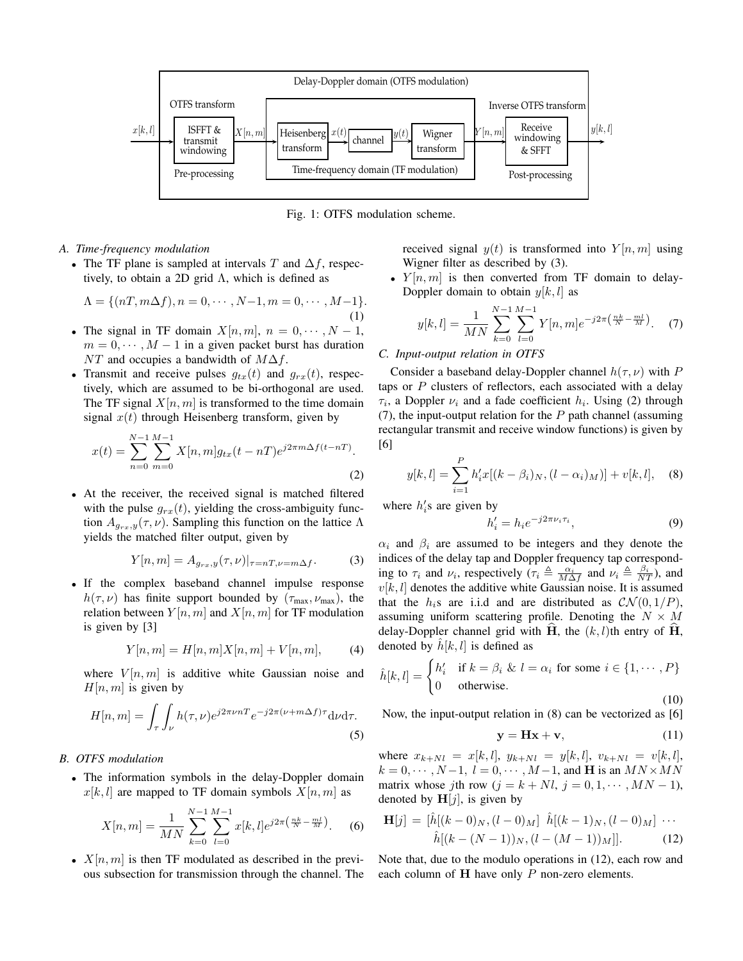

Fig. 1: OTFS modulation scheme.

- *A. Time-frequency modulation*
	- The TF plane is sampled at intervals T and  $\Delta f$ , respectively, to obtain a 2D grid  $\Lambda$ , which is defined as

$$
\Lambda = \{ (nT, m\Delta f), n = 0, \cdots, N-1, m = 0, \cdots, M-1 \}.
$$
\n(1)

- The signal in TF domain  $X[n,m]$ ,  $n = 0, \dots, N-1$ ,  $m = 0, \dots, M - 1$  in a given packet burst has duration NT and occupies a bandwidth of  $M\Delta f$ .
- Transmit and receive pulses  $q_{tx}(t)$  and  $q_{rx}(t)$ , respectively, which are assumed to be bi-orthogonal are used. The TF signal  $X[n, m]$  is transformed to the time domain signal  $x(t)$  through Heisenberg transform, given by

$$
x(t) = \sum_{n=0}^{N-1} \sum_{m=0}^{M-1} X[n,m] g_{tx}(t - nT) e^{j2\pi m \Delta f (t - nT)}.
$$
\n(2)

• At the receiver, the received signal is matched filtered with the pulse  $g_{rx}(t)$ , yielding the cross-ambiguity function  $A_{g_{rx},y}(\tau,\nu)$ . Sampling this function on the lattice  $\Lambda$ yields the matched filter output, given by

$$
Y[n,m] = A_{g_{rx},y}(\tau,\nu)|_{\tau=n}T_{,\nu=m\Delta f}.
$$
 (3)

• If the complex baseband channel impulse response  $h(\tau, \nu)$  has finite support bounded by  $(\tau_{\text{max}}, \nu_{\text{max}})$ , the relation between  $Y[n, m]$  and  $X[n, m]$  for TF modulation is given by [3]

$$
Y[n,m] = H[n,m]X[n,m] + V[n,m],
$$
 (4)

where  $V[n,m]$  is additive white Gaussian noise and  $H[n, m]$  is given by

$$
H[n,m] = \int_{\tau} \int_{\nu} h(\tau,\nu) e^{j2\pi\nu nT} e^{-j2\pi(\nu+m\Delta f)\tau} d\nu d\tau.
$$
\n(5)

# *B. OTFS modulation*

• The information symbols in the delay-Doppler domain  $x[k, l]$  are mapped to TF domain symbols  $X[n, m]$  as

$$
X[n,m] = \frac{1}{MN} \sum_{k=0}^{N-1} \sum_{l=0}^{M-1} x[k,l] e^{j2\pi \left(\frac{nk}{N} - \frac{ml}{M}\right)}.
$$
 (6)

•  $X[n, m]$  is then TF modulated as described in the previous subsection for transmission through the channel. The received signal  $y(t)$  is transformed into  $Y[n, m]$  using Wigner filter as described by (3).

•  $Y[n, m]$  is then converted from TF domain to delay-Doppler domain to obtain  $y[k, l]$  as

$$
y[k,l] = \frac{1}{MN} \sum_{k=0}^{N-1} \sum_{l=0}^{M-1} Y[n,m] e^{-j2\pi \left(\frac{nk}{N} - \frac{ml}{M}\right)}.
$$
 (7)

## *C. Input-output relation in OTFS*

Consider a baseband delay-Doppler channel  $h(\tau, \nu)$  with P taps or  $P$  clusters of reflectors, each associated with a delay  $\tau_i$ , a Doppler  $\nu_i$  and a fade coefficient  $h_i$ . Using (2) through (7), the input-output relation for the  $P$  path channel (assuming rectangular transmit and receive window functions) is given by [6]

$$
y[k, l] = \sum_{i=1}^{P} h'_i x[(k - \beta_i)_N, (l - \alpha_i)_M)] + v[k, l], \quad (8)
$$

where  $h_i$ 's are given by

$$
h_i' = h_i e^{-j2\pi \nu_i \tau_i},\tag{9}
$$

 $\alpha_i$  and  $\beta_i$  are assumed to be integers and they denote the indices of the delay tap and Doppler frequency tap corresponding to  $\tau_i$  and  $\nu_i$ , respectively  $(\tau_i \triangleq \frac{\alpha_i}{M\Delta f}$  and  $\nu_i \triangleq \frac{\beta_i}{NT})$ , and  $v[k, l]$  denotes the additive white Gaussian noise. It is assumed that the  $h_i$ s are i.i.d and are distributed as  $CN(0, 1/P)$ , assuming uniform scattering profile. Denoting the  $N \times M$ delay-Doppler channel grid with H, the  $(k, l)$ th entry of H, denoted by  $\hat{h}[k, l]$  is defined as

$$
\hat{h}[k,l] = \begin{cases} h'_i & \text{if } k = \beta_i \ \& \ l = \alpha_i \ \text{for some } i \in \{1, \cdots, P\} \\ 0 & \text{otherwise.} \end{cases}
$$
\n(10)

Now, the input-output relation in (8) can be vectorized as [6]

$$
y = Hx + v,\t(11)
$$

where  $x_{k+Nl} = x[k, l], y_{k+Nl} = y[k, l], v_{k+Nl} = v[k, l],$  $k = 0, \dots, N-1, l = 0, \dots, M-1$ , and **H** is an  $MN \times MN$ matrix whose jth row  $(j = k + Nl, j = 0, 1, \dots, MN - 1)$ , denoted by  $H[j]$ , is given by

$$
\mathbf{H}[j] = [\hat{h}[(k-0)_N, (l-0)_M] \quad \hat{h}[(k-1)_N, (l-0)_M] \quad \cdots \quad \hat{h}[(k-(N-1))_N, (l-(M-1))_M]]. \tag{12}
$$

Note that, due to the modulo operations in (12), each row and each column of  $H$  have only  $P$  non-zero elements.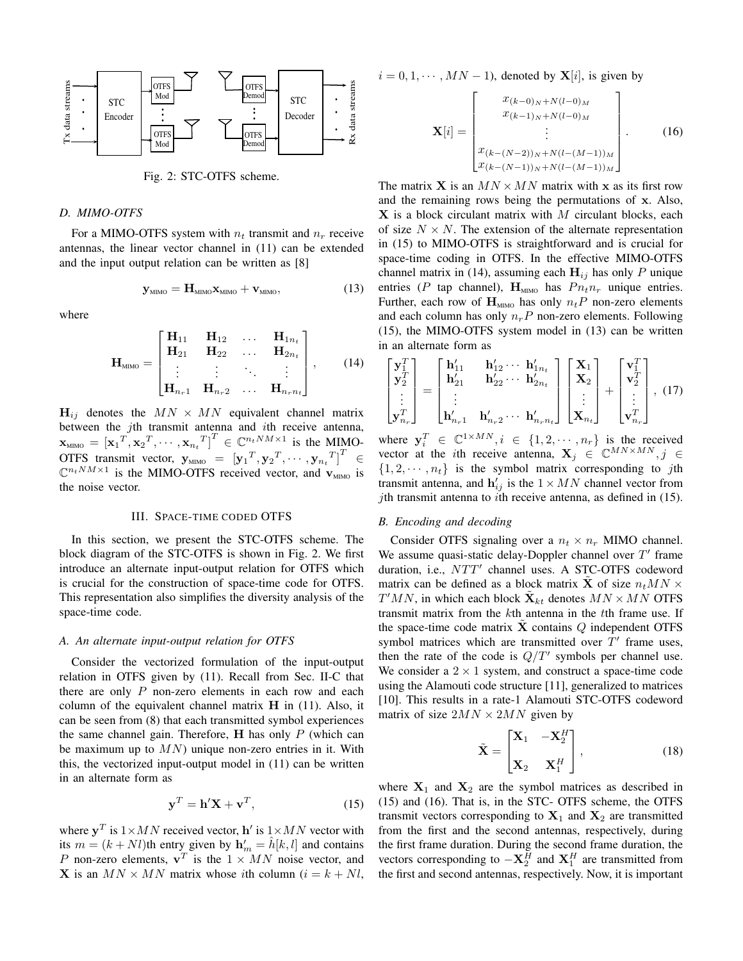

Fig. 2: STC-OTFS scheme.

# *D. MIMO-OTFS*

For a MIMO-OTFS system with  $n_t$  transmit and  $n_r$  receive antennas, the linear vector channel in (11) can be extended and the input output relation can be written as [8]

$$
\mathbf{y}_{\text{MIMO}} = \mathbf{H}_{\text{MIMO}} \mathbf{x}_{\text{MIMO}} + \mathbf{v}_{\text{MIMO}},\tag{13}
$$

where

$$
\mathbf{H}_{\text{MIMO}} = \begin{bmatrix} \mathbf{H}_{11} & \mathbf{H}_{12} & \dots & \mathbf{H}_{1n_t} \\ \mathbf{H}_{21} & \mathbf{H}_{22} & \dots & \mathbf{H}_{2n_t} \\ \vdots & \vdots & \ddots & \vdots \\ \mathbf{H}_{n_r 1} & \mathbf{H}_{n_r 2} & \dots & \mathbf{H}_{n_r n_t} \end{bmatrix}, \qquad (14)
$$

 $H_{ij}$  denotes the  $MN \times MN$  equivalent channel matrix between the jth transmit antenna and ith receive antenna,  $\mathbf{x}_{\text{MIMO}} = \left[\mathbf{x}_1^T, \mathbf{x}_2^T, \cdots, \mathbf{x}_{n_t}^T\right]^T \in \mathbb{C}^{n_tNM \times 1}$  is the MIMO-OTFS transmit vector,  $\mathbf{y}_{\text{MIMO}} = [\mathbf{y}_1^T, \mathbf{y}_2^T, \cdots, \mathbf{y}_{n_t}^T]^T \in$  $\mathbb{C}^{n_tNM\times 1}$  is the MIMO-OTFS received vector, and  $\mathbf{v}_{\text{MIMO}}$  is the noise vector.

#### III. SPACE-TIME CODED OTFS

In this section, we present the STC-OTFS scheme. The block diagram of the STC-OTFS is shown in Fig. 2. We first introduce an alternate input-output relation for OTFS which is crucial for the construction of space-time code for OTFS. This representation also simplifies the diversity analysis of the space-time code.

## *A. An alternate input-output relation for OTFS*

Consider the vectorized formulation of the input-output relation in OTFS given by (11). Recall from Sec. II-C that there are only  $P$  non-zero elements in each row and each column of the equivalent channel matrix  $H$  in (11). Also, it can be seen from (8) that each transmitted symbol experiences the same channel gain. Therefore,  $H$  has only  $P$  (which can be maximum up to  $MN$ ) unique non-zero entries in it. With this, the vectorized input-output model in (11) can be written in an alternate form as

$$
\mathbf{y}^T = \mathbf{h}'\mathbf{X} + \mathbf{v}^T,\tag{15}
$$

where  $y^T$  is  $1 \times MN$  received vector, h' is  $1 \times MN$  vector with its  $m = (k + Nl)$ th entry given by  $h'_m = \hat{h}[k, l]$  and contains P non-zero elements,  $v^T$  is the  $1 \times MN$  noise vector, and **X** is an  $MN \times MN$  matrix whose *i*th column ( $i = k + Nl$ ,

$$
i = 0, 1, \dots, MN - 1
$$
, denoted by  $X[i]$ , is given by

$$
\mathbf{X}[i] = \begin{bmatrix} x_{(k-0)_N+N(l-0)_M} \\ x_{(k-1)_N+N(l-0)_M} \\ \vdots \\ x_{(k-(N-2))_N+N(l-(M-1))_M} \\ x_{(k-(N-1))_N+N(l-(M-1))_M} \end{bmatrix} .
$$
 (16)

The matrix **X** is an  $MN \times MN$  matrix with **x** as its first row and the remaining rows being the permutations of x. Also,  $X$  is a block circulant matrix with  $M$  circulant blocks, each of size  $N \times N$ . The extension of the alternate representation in (15) to MIMO-OTFS is straightforward and is crucial for space-time coding in OTFS. In the effective MIMO-OTFS channel matrix in (14), assuming each  $H_{ij}$  has only P unique entries (P tap channel),  $H_{MIMO}$  has  $P_{n_t n_r}$  unique entries. Further, each row of  $H_{MIMO}$  has only  $n_tP$  non-zero elements and each column has only  $n_rP$  non-zero elements. Following (15), the MIMO-OTFS system model in (13) can be written in an alternate form as

$$
\begin{bmatrix} \mathbf{y}_1^T \\ \mathbf{y}_2^T \\ \vdots \\ \mathbf{y}_{n_r}^T \end{bmatrix} = \begin{bmatrix} \mathbf{h}'_{11} & \mathbf{h}'_{12} \cdots & \mathbf{h}'_{1n_t} \\ \mathbf{h}'_{21} & \mathbf{h}'_{22} \cdots & \mathbf{h}'_{2n_t} \\ \vdots & \vdots & \ddots \\ \mathbf{h}'_{n_r1} & \mathbf{h}'_{n_r2} \cdots & \mathbf{h}'_{n_rn_t} \end{bmatrix} \begin{bmatrix} \mathbf{X}_1 \\ \mathbf{X}_2 \\ \vdots \\ \mathbf{X}_{n_t} \end{bmatrix} + \begin{bmatrix} \mathbf{v}_1^T \\ \mathbf{v}_2^T \\ \vdots \\ \mathbf{v}_{n_r}^T \end{bmatrix}, (17)
$$

where  $y_i^T \in \mathbb{C}^{1 \times MN}$ ,  $i \in \{1, 2, \cdots, n_r\}$  is the received vector at the *i*th receive antenna,  $X_j \in \mathbb{C}^{MN \times MN}, j \in$  $\{1, 2, \dots, n_t\}$  is the symbol matrix corresponding to jth transmit antenna, and  $h'_{ij}$  is the  $1 \times MN$  channel vector from jth transmit antenna to *i*th receive antenna, as defined in  $(15)$ .

## *B. Encoding and decoding*

Consider OTFS signaling over a  $n_t \times n_r$  MIMO channel. We assume quasi-static delay-Doppler channel over  $T'$  frame duration, i.e., NTT' channel uses. A STC-OTFS codeword matrix can be defined as a block matrix **X** of size  $n_tMN \times$  $T^{\prime}MN$ , in which each block  $\tilde{\mathbf{X}}_{kt}$  denotes  $MN \times MN$  OTFS transmit matrix from the kth antenna in the tth frame use. If the space-time code matrix  $X$  contains  $Q$  independent OTFS symbol matrices which are transmitted over  $T'$  frame uses, then the rate of the code is  $Q/T'$  symbols per channel use. We consider a  $2 \times 1$  system, and construct a space-time code using the Alamouti code structure [11], generalized to matrices [10]. This results in a rate-1 Alamouti STC-OTFS codeword matrix of size  $2MN \times 2MN$  given by

$$
\tilde{\mathbf{X}} = \begin{bmatrix} \mathbf{X}_1 & -\mathbf{X}_2^H \\ \mathbf{X}_2 & \mathbf{X}_1^H \end{bmatrix},
$$
(18)

where  $X_1$  and  $X_2$  are the symbol matrices as described in (15) and (16). That is, in the STC- OTFS scheme, the OTFS transmit vectors corresponding to  $X_1$  and  $X_2$  are transmitted from the first and the second antennas, respectively, during the first frame duration. During the second frame duration, the vectors corresponding to  $-\mathbf{X}_2^H$  and  $\mathbf{X}_1^H$  are transmitted from the first and second antennas, respectively. Now, it is important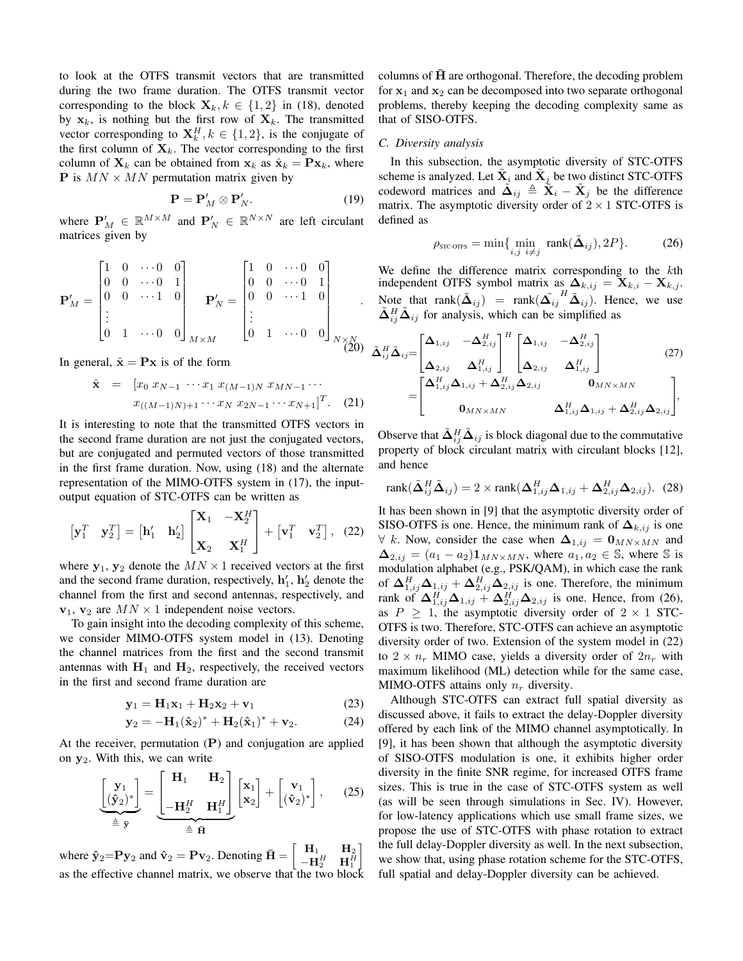to look at the OTFS transmit vectors that are transmitted during the two frame duration. The OTFS transmit vector corresponding to the block  $\mathbf{X}_k, k \in \{1, 2\}$  in (18), denoted by  $x_k$ , is nothing but the first row of  $X_k$ . The transmitted vector corresponding to  $X_k^H, k \in \{1, 2\}$ , is the conjugate of the first column of  $X_k$ . The vector corresponding to the first column of  $X_k$  can be obtained from  $x_k$  as  $\hat{x}_k = \mathbf{P}x_k$ , where **P** is  $MN \times MN$  permutation matrix given by

$$
\mathbf{P} = \mathbf{P}'_M \otimes \mathbf{P}'_N. \tag{19}
$$

where  $P'_M \in \mathbb{R}^{M \times M}$  and  $P'_N \in \mathbb{R}^{N \times N}$  are left circulant matrices given by

$$
\mathbf{P}'_M = \begin{bmatrix} 1 & 0 & \cdots 0 & 0 \\ 0 & 0 & \cdots 0 & 1 \\ 0 & 0 & \cdots 1 & 0 \\ \vdots & & & & \\ 0 & 1 & \cdots 0 & 0 \end{bmatrix}_{M \times M} = \begin{bmatrix} 1 & 0 & \cdots 0 & 0 \\ 0 & 0 & \cdots 0 & 1 \\ 0 & 0 & \cdots 1 & 0 \\ \vdots & & & & \\ 0 & 1 & \cdots 0 & 0 \end{bmatrix}_{N \times N \atop (20)}
$$

In general,  $\hat{\mathbf{x}} = \mathbf{P}\mathbf{x}$  is of the form

$$
\hat{\mathbf{x}} = [x_0 \ x_{N-1} \ \cdots \ x_1 \ x_{(M-1)N} \ x_{MN-1} \cdots \\
x_{((M-1)N)+1} \cdots \ x_N \ x_{2N-1} \cdots \ x_{N+1}]^T. \tag{21}
$$

It is interesting to note that the transmitted OTFS vectors in the second frame duration are not just the conjugated vectors, but are conjugated and permuted vectors of those transmitted in the first frame duration. Now, using (18) and the alternate representation of the MIMO-OTFS system in (17), the inputoutput equation of STC-OTFS can be written as

$$
\begin{bmatrix} \mathbf{y}_1^T & \mathbf{y}_2^T \end{bmatrix} = \begin{bmatrix} \mathbf{h}'_1 & \mathbf{h}'_2 \end{bmatrix} \begin{bmatrix} \mathbf{X}_1 & -\mathbf{X}_2^H \\ \mathbf{X}_2 & \mathbf{X}_1^H \end{bmatrix} + \begin{bmatrix} \mathbf{v}_1^T & \mathbf{v}_2^T \end{bmatrix}, \quad (22)
$$

where  $y_1, y_2$  denote the  $MN \times 1$  received vectors at the first and the second frame duration, respectively,  $\mathbf{h}'_1$ ,  $\mathbf{h}'_2$  denote the channel from the first and second antennas, respectively, and  $v_1$ ,  $v_2$  are  $MN \times 1$  independent noise vectors.

To gain insight into the decoding complexity of this scheme, we consider MIMO-OTFS system model in (13). Denoting the channel matrices from the first and the second transmit antennas with  $H_1$  and  $H_2$ , respectively, the received vectors in the first and second frame duration are

$$
\mathbf{y}_1 = \mathbf{H}_1 \mathbf{x}_1 + \mathbf{H}_2 \mathbf{x}_2 + \mathbf{v}_1 \tag{23}
$$

$$
y_2 = -H_1(\hat{x}_2)^* + H_2(\hat{x}_1)^* + v_2.
$$
 (24)

At the receiver, permutation  $(P)$  and conjugation are applied on  $y_2$ . With this, we can write

$$
\underbrace{\begin{bmatrix} \mathbf{y}_1 \\ (\hat{\mathbf{y}}_2)^* \end{bmatrix}}_{\triangleq \overline{\mathbf{y}}} = \underbrace{\begin{bmatrix} \mathbf{H}_1 & \mathbf{H}_2 \\ -\mathbf{H}_2^H & \mathbf{H}_1^H \end{bmatrix}}_{\triangleq \overline{\mathbf{H}}} \begin{bmatrix} \mathbf{x}_1 \\ \mathbf{x}_2 \end{bmatrix} + \begin{bmatrix} \mathbf{v}_1 \\ (\hat{\mathbf{v}}_2)^* \end{bmatrix}, \qquad (25)
$$

where  $\hat{\mathbf{y}}_2 = \mathbf{P} \mathbf{y}_2$  and  $\hat{\mathbf{v}}_2 = \mathbf{P} \mathbf{v}_2$ . Denoting  $\bar{\mathbf{H}} = \begin{bmatrix} \mathbf{H}_1 & \mathbf{H}_2 \\ -\mathbf{H}^H & \mathbf{H}^H \end{bmatrix}$  $-{\bf H}_2^H$   ${\bf H}_1^H$ 1 as the effective channel matrix, we observe that the two block columns of  $H$  are orthogonal. Therefore, the decoding problem for  $x_1$  and  $x_2$  can be decomposed into two separate orthogonal problems, thereby keeping the decoding complexity same as that of SISO-OTFS.

## *C. Diversity analysis*

In this subsection, the asymptotic diversity of STC-OTFS scheme is analyzed. Let  $\tilde{\mathbf{X}}_i$  and  $\tilde{\mathbf{X}}_j$  be two distinct STC-OTFS codeword matrices and  $\tilde{\mathbf{\Delta}}_{ij} \triangleq \tilde{\mathbf{X}}_i - \tilde{\mathbf{X}}_j$  be the difference matrix. The asymptotic diversity order of  $2 \times 1$  STC-OTFS is defined as

$$
\rho_{\text{src-OTS}} = \min\{\min_{i,j} \text{rank}(\tilde{\Delta}_{ij}), 2P\}. \tag{26}
$$

We define the difference matrix corresponding to the kth independent OTFS symbol matrix as  $\Delta_{k,ij} = \mathbf{X}_{k,i} - \mathbf{X}_{k,j}$ . Note that rank $(\tilde{\Delta}_{ij})$  = rank $(\tilde{\Delta_{ij}}^H \tilde{\Delta}_{ij})$ . Hence, we use  $\tilde{\Delta}_{ij}^H \tilde{\Delta}_{ij}$  for analysis, which can be simplified as

$$
\tilde{\mathbf{\Delta}}_{ij}^H \tilde{\mathbf{\Delta}}_{ij} = \begin{bmatrix} \mathbf{\Delta}_{1,ij} & -\mathbf{\Delta}_{2,ij}^H \\ \mathbf{\Delta}_{2,ij} & \mathbf{\Delta}_{1,ij}^H \end{bmatrix}^H \begin{bmatrix} \mathbf{\Delta}_{1,ij} & -\mathbf{\Delta}_{2,ij}^H \\ \mathbf{\Delta}_{2,ij} & \mathbf{\Delta}_{1,ij}^H \end{bmatrix} \tag{27}
$$
\n
$$
= \begin{bmatrix} \mathbf{\Delta}_{1,ij}^H \mathbf{\Delta}_{1,ij} + \mathbf{\Delta}_{2,ij}^H \mathbf{\Delta}_{2,ij} & \mathbf{0}_{MN \times MN} \\ \mathbf{0}_{MN \times MN} & \mathbf{\Delta}_{1,ij}^H \mathbf{\Delta}_{1,ij} + \mathbf{\Delta}_{2,ij}^H \mathbf{\Delta}_{2,ij} \end{bmatrix},
$$

Observe that  $\tilde{\Delta}_{ij}^H \tilde{\Delta}_{ij}$  is block diagonal due to the commutative property of block circulant matrix with circulant blocks [12], and hence

$$
rank(\tilde{\Delta}_{ij}^H \tilde{\Delta}_{ij}) = 2 \times rank(\Delta_{1,ij}^H \Delta_{1,ij} + \Delta_{2,ij}^H \Delta_{2,ij}).
$$
 (28)

It has been shown in [9] that the asymptotic diversity order of SISO-OTFS is one. Hence, the minimum rank of  $\Delta_{k,ij}$  is one  $∀ k. Now, consider the case when  $\Delta_{1,ij} = \mathbf{0}_{MN \times MN}$  and$  $\Delta_{2,ij} = (a_1 - a_2) \mathbf{1}_{MN \times MN}$ , where  $a_1, a_2 \in \mathbb{S}$ , where  $\mathbb{S}$  is modulation alphabet (e.g., PSK/QAM), in which case the rank of  $\Delta_{1,ij}^H \Delta_{1,ij} + \Delta_{2,ij}^H \Delta_{2,ij}$  is one. Therefore, the minimum rank of  $\Delta_{1,ij}^H \Delta_{1,ij} + \Delta_{2,ij}^H \Delta_{2,ij}$  is one. Hence, from (26), as  $P \ge 1$ , the asymptotic diversity order of  $2 \times 1$  STC-OTFS is two. Therefore, STC-OTFS can achieve an asymptotic diversity order of two. Extension of the system model in (22) to  $2 \times n_r$  MIMO case, yields a diversity order of  $2n_r$  with maximum likelihood (ML) detection while for the same case, MIMO-OTFS attains only  $n_r$  diversity.

Although STC-OTFS can extract full spatial diversity as discussed above, it fails to extract the delay-Doppler diversity offered by each link of the MIMO channel asymptotically. In [9], it has been shown that although the asymptotic diversity of SISO-OTFS modulation is one, it exhibits higher order diversity in the finite SNR regime, for increased OTFS frame sizes. This is true in the case of STC-OTFS system as well (as will be seen through simulations in Sec. IV). However, for low-latency applications which use small frame sizes, we propose the use of STC-OTFS with phase rotation to extract the full delay-Doppler diversity as well. In the next subsection, we show that, using phase rotation scheme for the STC-OTFS, full spatial and delay-Doppler diversity can be achieved.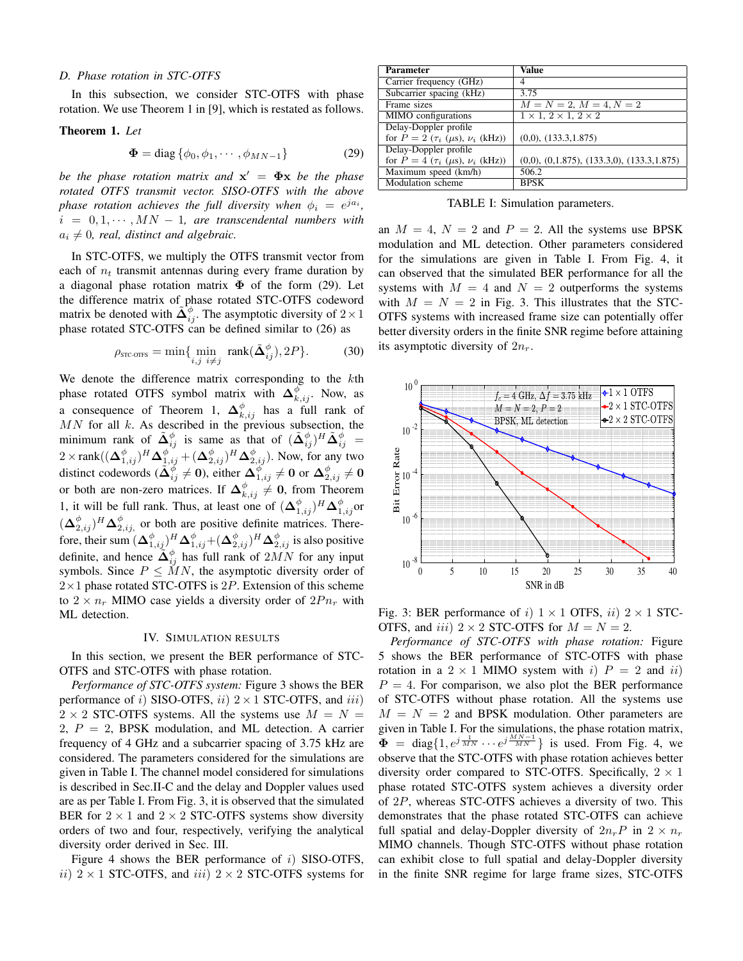#### *D. Phase rotation in STC-OTFS*

In this subsection, we consider STC-OTFS with phase rotation. We use Theorem 1 in [9], which is restated as follows.

#### Theorem 1. *Let*

$$
\mathbf{\Phi} = \text{diag}\left\{\phi_0, \phi_1, \cdots, \phi_{MN-1}\right\} \tag{29}
$$

*be the phase rotation matrix and* x ′ = Φx *be the phase rotated OTFS transmit vector. SISO-OTFS with the above phase rotation achieves the full diversity when*  $\phi_i = e^{ja_i}$ ,  $i = 0, 1, \cdots, MN - 1$ , are transcendental numbers with  $a_i \neq 0$ , real, distinct and algebraic.

In STC-OTFS, we multiply the OTFS transmit vector from each of  $n_t$  transmit antennas during every frame duration by a diagonal phase rotation matrix  $\Phi$  of the form (29). Let the difference matrix of phase rotated STC-OTFS codeword matrix be denoted with  $\tilde{\mathbf{\Delta}}_{ij}^{\phi}$ . The asymptotic diversity of  $2 \times 1$ phase rotated STC-OTFS can be defined similar to (26) as

$$
\rho_{\text{src-ortrs}} = \min\{\min_{i,j} \min_{i \neq j} \text{rank}(\tilde{\Delta}_{ij}^{\phi}), 2P\}.
$$
 (30)

We denote the difference matrix corresponding to the kth phase rotated OTFS symbol matrix with  $\Delta_{k,ij}^{\phi}$ . Now, as a consequence of Theorem 1,  $\Delta_{k,ij}^{\phi}$  has a full rank of  $MN$  for all  $k$ . As described in the previous subsection, the minimum rank of  $\tilde{\mathbf{\Delta}}_{ij}^{\phi}$  is same as that of  $(\tilde{\mathbf{\Delta}}_{ij}^{\phi})^H \tilde{\mathbf{\Delta}}_{ij}^{\phi} =$  $2 \times \text{rank}((\Delta_{1,ij}^{\phi})^H \Delta_{1,ij}^{\phi^*} + (\Delta_{2,ij}^{\phi})^H \Delta_{2,ij}^{\phi}).$  Now, for any two distinct codewords ( $\tilde{\Delta}_{ij}^{\phi} \neq 0$ ), either  $\Delta_{1,ij}^{\phi} \neq 0$  or  $\Delta_{2,ij}^{\phi} \neq 0$ or both are non-zero matrices. If  $\Delta_{k,ij}^{\phi} \neq 0$ , from Theorem 1, it will be full rank. Thus, at least one of  $(\Delta_{1,ij}^{\phi})^H \Delta_{1,ij}^{\phi}$  or  $(\Delta_{2,ij}^{\phi})^H \Delta_{2,ij}^{\phi}$  or both are positive definite matrices. Therefore, their sum  $(\mathbf{\Delta}_{1,ij}^\phi)^H \mathbf{\Delta}_{1,ij}^\phi + (\mathbf{\Delta}_{2,ij}^\phi)^H \mathbf{\Delta}_{2,ij}^\phi$  is also positive definite, and hence  $\widetilde{\Delta}_{ij}^{\phi}$  has full rank of  $2MN$  for any input symbols. Since  $P \leq \tilde{M}N$ , the asymptotic diversity order of  $2\times1$  phase rotated STC-OTFS is 2P. Extension of this scheme to  $2 \times n_r$  MIMO case yields a diversity order of  $2Pn_r$  with ML detection.

# IV. SIMULATION RESULTS

In this section, we present the BER performance of STC-OTFS and STC-OTFS with phase rotation.

*Performance of STC-OTFS system:* Figure 3 shows the BER performance of i) SISO-OTFS, ii)  $2 \times 1$  STC-OTFS, and iii)  $2 \times 2$  STC-OTFS systems. All the systems use  $M = N =$ 2,  $P = 2$ , BPSK modulation, and ML detection. A carrier frequency of 4 GHz and a subcarrier spacing of 3.75 kHz are considered. The parameters considered for the simulations are given in Table I. The channel model considered for simulations is described in Sec.II-C and the delay and Doppler values used are as per Table I. From Fig. 3, it is observed that the simulated BER for  $2 \times 1$  and  $2 \times 2$  STC-OTFS systems show diversity orders of two and four, respectively, verifying the analytical diversity order derived in Sec. III.

Figure 4 shows the BER performance of  $i$ ) SISO-OTFS, ii)  $2 \times 1$  STC-OTFS, and iii)  $2 \times 2$  STC-OTFS systems for

| Parameter                                         | Value                                                 |
|---------------------------------------------------|-------------------------------------------------------|
| Carrier frequency (GHz)                           | 4                                                     |
| Subcarrier spacing (kHz)                          | 3.75                                                  |
| Frame sizes                                       | $M = N = 2, M = 4, N = 2$                             |
| MIMO configurations                               | $1 \times 1$ , $2 \times 1$ , $2 \times 2$            |
| Delay-Doppler profile                             |                                                       |
| for $P = 2 (\tau_i (\mu s), \nu_i (kHz))$         | $(0,0)$ , $(133.3,1.875)$                             |
| Delay-Doppler profile                             |                                                       |
| for $P = 4$ ( $\tau_i$ ( $\mu$ s), $\nu_i$ (kHz)) | $(0,0)$ , $(0,1.875)$ , $(133.3,0)$ , $(133.3,1.875)$ |
| Maximum speed (km/h)                              | 506.2                                                 |
| Modulation scheme                                 | <b>BPSK</b>                                           |

TABLE I: Simulation parameters.

an  $M = 4$ ,  $N = 2$  and  $P = 2$ . All the systems use BPSK modulation and ML detection. Other parameters considered for the simulations are given in Table I. From Fig. 4, it can observed that the simulated BER performance for all the systems with  $M = 4$  and  $N = 2$  outperforms the systems with  $M = N = 2$  in Fig. 3. This illustrates that the STC-OTFS systems with increased frame size can potentially offer better diversity orders in the finite SNR regime before attaining its asymptotic diversity of  $2n_r$ .



Fig. 3: BER performance of i)  $1 \times 1$  OTFS, ii)  $2 \times 1$  STC-OTFS, and iii)  $2 \times 2$  STC-OTFS for  $M = N = 2$ .

*Performance of STC-OTFS with phase rotation:* Figure 5 shows the BER performance of STC-OTFS with phase rotation in a  $2 \times 1$  MIMO system with i)  $P = 2$  and ii)  $P = 4$ . For comparison, we also plot the BER performance of STC-OTFS without phase rotation. All the systems use  $M = N = 2$  and BPSK modulation. Other parameters are given in Table I. For the simulations, the phase rotation matrix,  $\Phi$  = diag $\{1, e^{j\frac{1}{MN}} \cdots e^{j\frac{MN-1}{MN}}\}$  is used. From Fig. 4, we observe that the STC-OTFS with phase rotation achieves better diversity order compared to STC-OTFS. Specifically,  $2 \times 1$ phase rotated STC-OTFS system achieves a diversity order of 2P, whereas STC-OTFS achieves a diversity of two. This demonstrates that the phase rotated STC-OTFS can achieve full spatial and delay-Doppler diversity of  $2n_rP$  in  $2 \times n_r$ MIMO channels. Though STC-OTFS without phase rotation can exhibit close to full spatial and delay-Doppler diversity in the finite SNR regime for large frame sizes, STC-OTFS